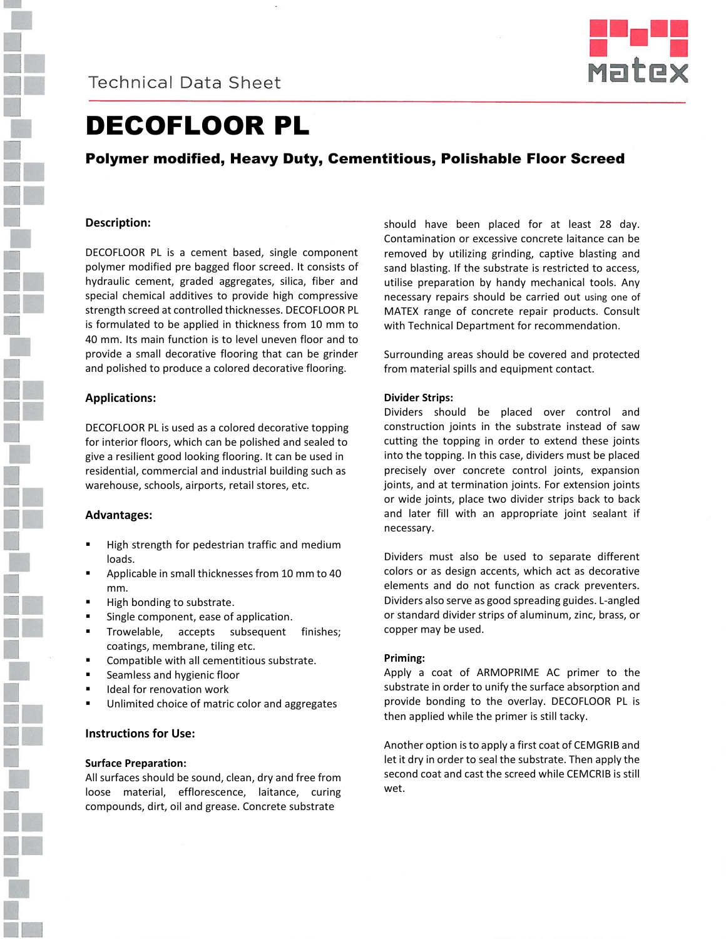



# DECOFLOOR PL

## Polymer modified, Heavy Duty, Cementitious, Polishable Floor Screed

## **Description:**

DECOFLOOR PL is a cement based, single component polymer modified pre bagged floor screed. It consists of hydraulic cement, graded aggregates, silica, fiber and special chemical additives to provide high compressive strength screed at controlled thicknesses. DECOFLOOR PL is formulated to be applied in thickness from 10 mm to 40 mm. Its main function is to level uneven floor and to provide a small decorative flooring that can be grinder and polished to produce a colored decorative flooring.

## **Applications:**

DECOFLOOR PL is used as a colored decorative topping for interior floors, which can be polished and sealed to give a resilient good looking flooring. It can be used in residential, commercial and industrial building such as warehouse, schools, airports, retail stores, etc.

## **Advantages:**

- High strength for pedestrian traffic and medium loads.
- Applicable in small thicknesses from 10 mm to 40 mm.
- High bonding to substrate.
- **Single component, ease of application.**
- **Trowelable, accepts subsequent finishes;** coatings, membrane, tiling etc.
- Compatible with all cementitious substrate.
- Seamless and hygienic floor
- Ideal for renovation work
- Unlimited choice of matric color and aggregates

## **Instructions for Use:**

#### **Surface Preparation:**

All surfaces should be sound, clean, dry and free from loose material, efflorescence, laitance, curing compounds, dirt, oil and grease. Concrete substrate

should have been placed for at least 28 day. Contamination or excessive concrete laitance can be removed by utilizing grinding, captive blasting and sand blasting. If the substrate is restricted to access, utilise preparation by handy mechanical tools. Any necessary repairs should be carried out using one of MATEX range of concrete repair products. Consult with Technical Department for recommendation.

Surrounding areas should be covered and protected from material spills and equipment contact.

#### **Divider Strips:**

Dividers should be placed over control and construction joints in the substrate instead of saw cutting the topping in order to extend these joints into the topping. In this case, dividers must be placed precisely over concrete control joints, expansion joints, and at termination joints. For extension joints or wide joints, place two divider strips back to back and later fill with an appropriate joint sealant if necessary.

Dividers must also be used to separate different colors or as design accents, which act as decorative elements and do not function as crack preventers. Dividers also serve as good spreading guides. L-angled or standard divider strips of aluminum, zinc, brass, or copper may be used.

#### **Priming:**

Apply a coat of ARMOPRIME AC primer to the substrate in order to unify the surface absorption and provide bonding to the overlay. DECOFLOOR PL is then applied while the primer is still tacky.

Another option is to apply a first coat of CEMGRIB and let it dry in order to seal the substrate. Then apply the second coat and cast the screed while CEMCRIB is still wet.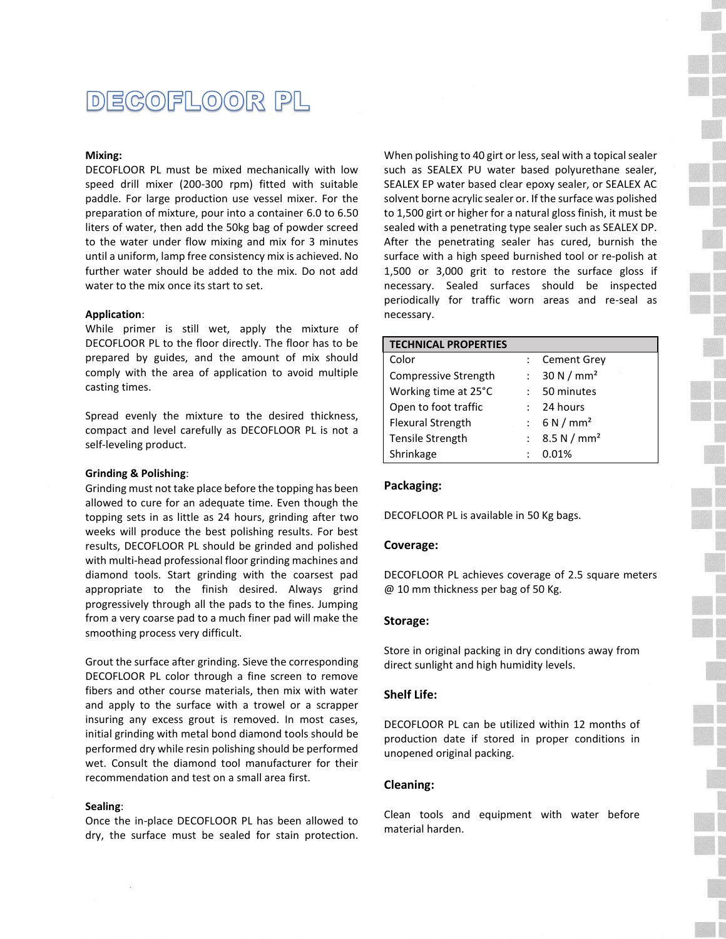## DECOFLOOR PL

#### **Mixing:**

DECOFLOOR PL must be mixed mechanically with low speed drill mixer (200-300 rpm) fitted with suitable paddle. For large production use vessel mixer. For the preparation of mixture, pour into a container 6.0 to 6.50 liters of water, then add the 50kg bag of powder screed to the water under flow mixing and mix for 3 minutes until a uniform, lamp free consistency mix is achieved. No further water should be added to the mix. Do not add water to the mix once its start to set.

#### **Application**:

While primer is still wet, apply the mixture of DECOFLOOR PL to the floor directly. The floor has to be prepared by guides, and the amount of mix should comply with the area of application to avoid multiple casting times.

Spread evenly the mixture to the desired thickness, compact and level carefully as DECOFLOOR PL is not a self-leveling product.

#### **Grinding & Polishing**:

Grinding must not take place before the topping has been allowed to cure for an adequate time. Even though the topping sets in as little as 24 hours, grinding after two weeks will produce the best polishing results. For best results, DECOFLOOR PL should be grinded and polished with multi-head professional floor grinding machines and diamond tools. Start grinding with the coarsest pad appropriate to the finish desired. Always grind progressively through all the pads to the fines. Jumping from a very coarse pad to a much finer pad will make the smoothing process very difficult.

Grout the surface after grinding. Sieve the corresponding DECOFLOOR PL color through a fine screen to remove fibers and other course materials, then mix with water and apply to the surface with a trowel or a scrapper insuring any excess grout is removed. In most cases, initial grinding with metal bond diamond tools should be performed dry while resin polishing should be performed wet. Consult the diamond tool manufacturer for their recommendation and test on a small area first.

#### **Sealing**:

Once the in-place DECOFLOOR PL has been allowed to dry, the surface must be sealed for stain protection. When polishing to 40 girt or less, seal with a topical sealer such as SEALEX PU water based polyurethane sealer, SEALEX EP water based clear epoxy sealer, or SEALEX AC solvent borne acrylic sealer or. If the surface was polished to 1,500 girt or higher for a natural gloss finish, it must be sealed with a penetrating type sealer such as SEALEX DP. After the penetrating sealer has cured, burnish the surface with a high speed burnished tool or re-polish at 1,500 or 3,000 grit to restore the surface gloss if necessary. Sealed surfaces should be inspected periodically for traffic worn areas and re-seal as necessary.

| <b>TECHNICAL PROPERTIES</b> |                       |
|-----------------------------|-----------------------|
| Color                       | <b>Cement Grey</b>    |
| Compressive Strength        | 30 N/mm <sup>2</sup>  |
| Working time at 25°C        | 50 minutes            |
| Open to foot traffic        | 24 hours              |
| <b>Flexural Strength</b>    | : 6 N/mm <sup>2</sup> |
| <b>Tensile Strength</b>     | : $8.5 N/mm2$         |
| Shrinkage                   | 0.01%                 |

#### **Packaging:**

DECOFLOOR PL is available in 50 Kg bags.

#### **Coverage:**

DECOFLOOR PL achieves coverage of 2.5 square meters @ 10 mm thickness per bag of 50 Kg.

#### **Storage:**

Store in original packing in dry conditions away from direct sunlight and high humidity levels.

#### **Shelf Life:**

DECOFLOOR PL can be utilized within 12 months of production date if stored in proper conditions in unopened original packing.

#### **Cleaning:**

Clean tools and equipment with water before material harden.